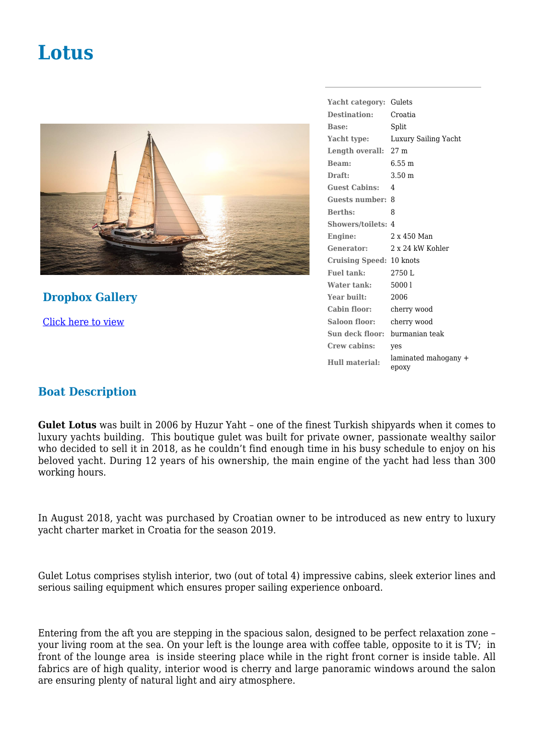## **Lotus**



**Dropbox Gallery** [Click here to view](https://www.dropbox.com/sh/dt91cubwf9ghbuv/AADYM98TyHDQmhttJ2-PMksia?dl=0)

**Yacht category:** Gulets **Destination:** Croatia **Base:** Split **Yacht type:** Luxury Sailing Yacht **Length overall:** 27 m **Beam:** 6.55 m **Draft:** 3.50 m **Guest Cabins:** 4 **Guests number:** 8 **Berths:** 8 **Showers/toilets:** 4 **Engine:** 2 x 450 Man **Generator:** 2 x 24 kW Kohler **Cruising Speed:** 10 knots **Fuel tank:** 2750 L **Water tank:** 5000 l Year built: 2006 **Cabin floor:** cherry wood **Saloon floor:** cherry wood **Sun deck floor:** burmanian teak **Crew cabins:** yes **Hull material:** laminated mahogany + epoxy

## **Boat Description**

**Gulet Lotus** was built in 2006 by Huzur Yaht – one of the finest Turkish shipyards when it comes to luxury yachts building. This boutique gulet was built for private owner, passionate wealthy sailor who decided to sell it in 2018, as he couldn't find enough time in his busy schedule to enjoy on his beloved yacht. During 12 years of his ownership, the main engine of the yacht had less than 300 working hours.

In August 2018, yacht was purchased by Croatian owner to be introduced as new entry to luxury yacht charter market in Croatia for the season 2019.

Gulet Lotus comprises stylish interior, two (out of total 4) impressive cabins, sleek exterior lines and serious sailing equipment which ensures proper sailing experience onboard.

Entering from the aft you are stepping in the spacious salon, designed to be perfect relaxation zone – your living room at the sea. On your left is the lounge area with coffee table, opposite to it is TV; in front of the lounge area is inside steering place while in the right front corner is inside table. All fabrics are of high quality, interior wood is cherry and large panoramic windows around the salon are ensuring plenty of natural light and airy atmosphere.